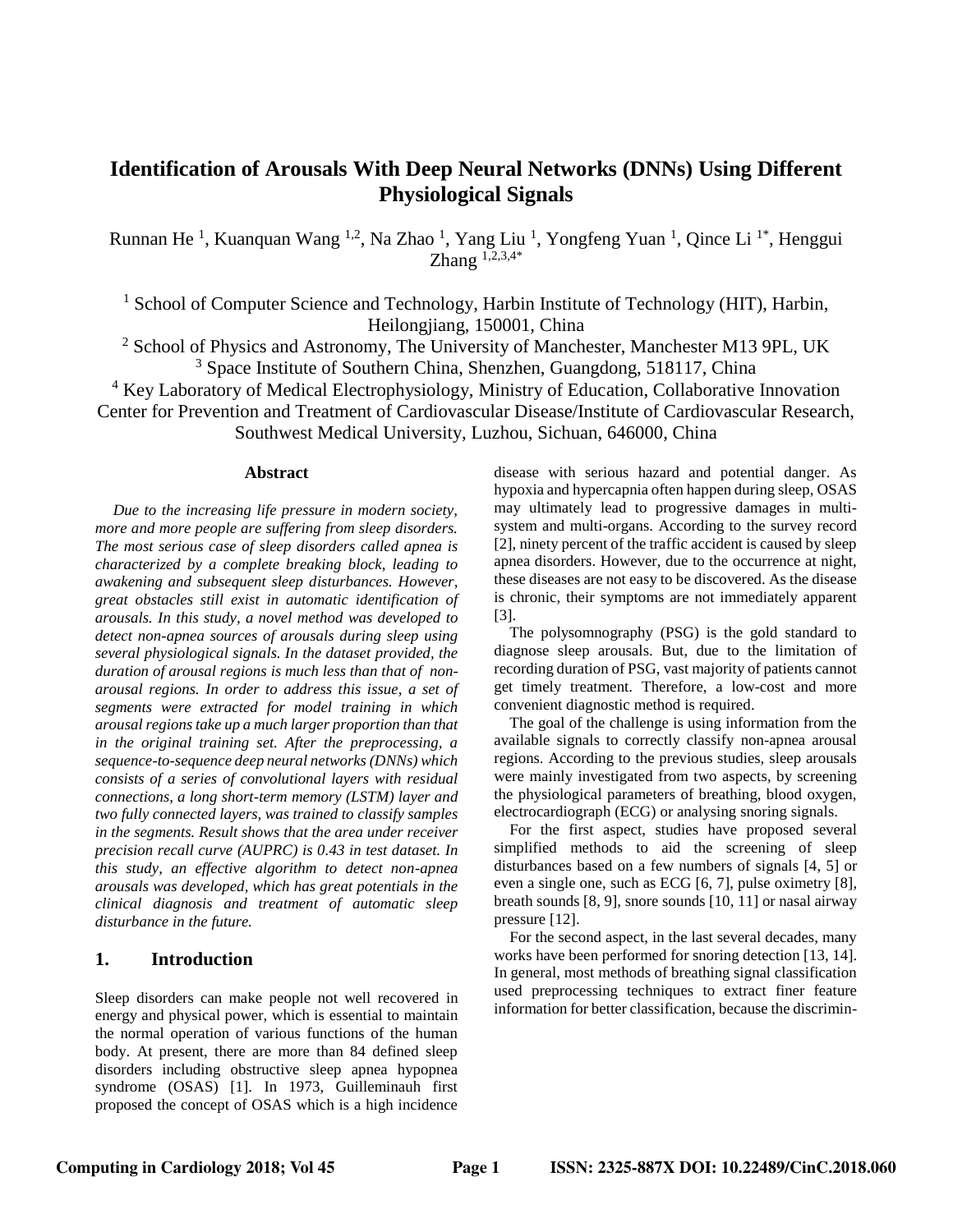# **Identification of Arousals With Deep Neural Networks (DNNs) Using Different Physiological Signals**

Runnan He<sup>1</sup>, Kuanquan Wang <sup>1,2</sup>, Na Zhao <sup>1</sup>, Yang Liu<sup>1</sup>, Yongfeng Yuan<sup>1</sup>, Qince Li<sup>1\*</sup>, Henggui  $\sum_{n=1}^{\infty} \frac{1}{2}$ 

<sup>1</sup> School of Computer Science and Technology, Harbin Institute of Technology (HIT), Harbin, Heilongjiang, 150001, China

 $2$  School of Physics and Astronomy, The University of Manchester, Manchester M13 9PL, UK <sup>3</sup> Space Institute of Southern China, Shenzhen, Guangdong, 518117, China

<sup>4</sup> Key Laboratory of Medical Electrophysiology, Ministry of Education, Collaborative Innovation Center for Prevention and Treatment of Cardiovascular Disease/Institute of Cardiovascular Research, Southwest Medical University, Luzhou, Sichuan, 646000, China

#### **Abstract**

*Due to the increasing life pressure in modern society, more and more people are suffering from sleep disorders. The most serious case of sleep disorders called apnea is characterized by a complete breaking block, leading to awakening and subsequent sleep disturbances. However, great obstacles still exist in automatic identification of arousals. In this study, a novel method was developed to detect non-apnea sources of arousals during sleep using several physiological signals. In the dataset provided, the duration of arousal regions is much less than that of nonarousal regions. In order to address this issue, a set of segments were extracted for model training in which arousal regions take up a much larger proportion than that in the original training set. After the preprocessing, a sequence-to-sequence deep neural networks (DNNs) which consists of a series of convolutional layers with residual connections, a long short-term memory (LSTM) layer and two fully connected layers, was trained to classify samples in the segments. Result shows that the area under receiver precision recall curve (AUPRC) is 0.43 in test dataset. In this study, an effective algorithm to detect non-apnea arousals was developed, which has great potentials in the clinical diagnosis and treatment of automatic sleep disturbance in the future.*

# **1. Introduction**

Sleep disorders can make people not well recovered in energy and physical power, which is essential to maintain the normal operation of various functions of the human body. At present, there are more than 84 defined sleep disorders including obstructive sleep apnea hypopnea syndrome (OSAS) [1]. In 1973, Guilleminauh first proposed the concept of OSAS which is a high incidence

disease with serious hazard and potential danger. As hypoxia and hypercapnia often happen during sleep, OSAS may ultimately lead to progressive damages in multisystem and multi-organs. According to the survey record [2], ninety percent of the traffic accident is caused by sleep apnea disorders. However, due to the occurrence at night, these diseases are not easy to be discovered. As the disease is chronic, their symptoms are not immediately apparent [3].

The polysomnography (PSG) is the gold standard to diagnose sleep arousals. But, due to the limitation of recording duration of PSG, vast majority of patients cannot get timely treatment. Therefore, a low-cost and more convenient diagnostic method is required.

The goal of the challenge is using information from the available signals to correctly classify non-apnea arousal regions. According to the previous studies, sleep arousals were mainly investigated from two aspects, by screening the physiological parameters of breathing, blood oxygen, electrocardiograph (ECG) or analysing snoring signals.

For the first aspect, studies have proposed several simplified methods to aid the screening of sleep disturbances based on a few numbers of signals [4, 5] or even a single one, such as ECG [6, 7], pulse oximetry [8], breath sounds [8, 9], snore sounds [10, 11] or nasal airway pressure [12].

For the second aspect, in the last several decades, many works have been performed for snoring detection [13, 14]. In general, most methods of breathing signal classification used preprocessing techniques to extract finer feature information for better classification, because the discrimin-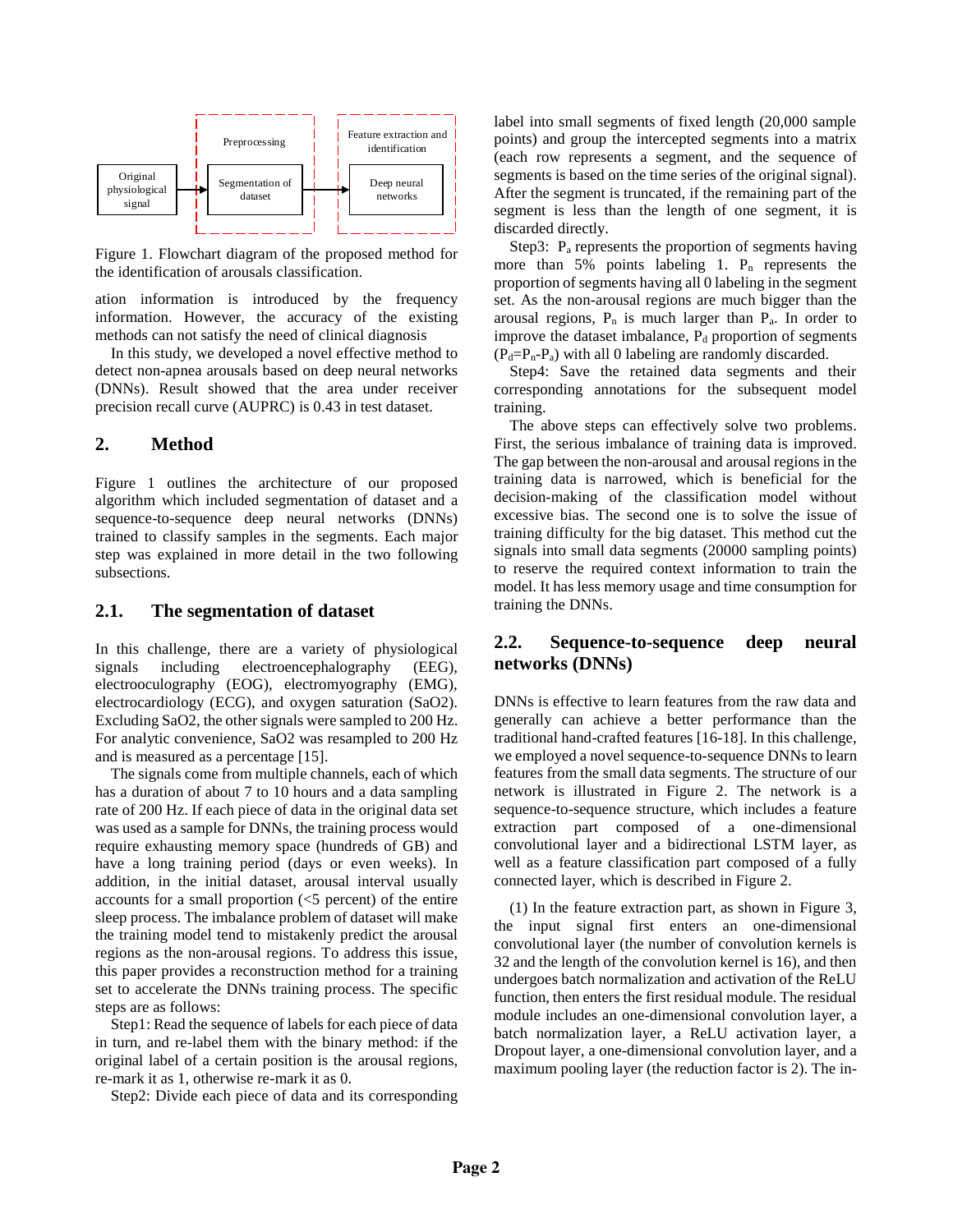

Figure 1. Flowchart diagram of the proposed method for the identification of arousals classification.

ation information is introduced by the frequency information. However, the accuracy of the existing methods can not satisfy the need of clinical diagnosis

In this study, we developed a novel effective method to detect non-apnea arousals based on deep neural networks (DNNs). Result showed that the area under receiver precision recall curve (AUPRC) is 0.43 in test dataset.

## **2. Method**

Figure 1 outlines the architecture of our proposed algorithm which included segmentation of dataset and a sequence-to-sequence deep neural networks (DNNs) trained to classify samples in the segments. Each major step was explained in more detail in the two following subsections.

#### **2.1. The segmentation of dataset**

In this challenge, there are a variety of physiological signals including electroencephalography (EEG), electrooculography (EOG), electromyography (EMG), electrocardiology (ECG), and oxygen saturation (SaO2). Excluding SaO2, the other signals were sampled to 200 Hz. For analytic convenience, SaO2 was resampled to 200 Hz and is measured as a percentage [15].

The signals come from multiple channels, each of which has a duration of about 7 to 10 hours and a data sampling rate of 200 Hz. If each piece of data in the original data set was used as a sample for DNNs, the training process would require exhausting memory space (hundreds of GB) and have a long training period (days or even weeks). In addition, in the initial dataset, arousal interval usually accounts for a small proportion  $(<5$  percent) of the entire sleep process. The imbalance problem of dataset will make the training model tend to mistakenly predict the arousal regions as the non-arousal regions. To address this issue, this paper provides a reconstruction method for a training set to accelerate the DNNs training process. The specific steps are as follows:

Step1: Read the sequence of labels for each piece of data in turn, and re-label them with the binary method: if the original label of a certain position is the arousal regions, re-mark it as 1, otherwise re-mark it as 0.

Step2: Divide each piece of data and its corresponding

label into small segments of fixed length (20,000 sample points) and group the intercepted segments into a matrix (each row represents a segment, and the sequence of segments is based on the time series of the original signal). After the segment is truncated, if the remaining part of the segment is less than the length of one segment, it is discarded directly.

Step3:  $P_a$  represents the proportion of segments having more than  $5\%$  points labeling 1.  $P_n$  represents the proportion of segments having all 0 labeling in the segment set. As the non-arousal regions are much bigger than the arousal regions,  $P_n$  is much larger than  $P_a$ . In order to improve the dataset imbalance,  $P_d$  proportion of segments  $(P_d = P_n - P_a)$  with all 0 labeling are randomly discarded.

Step4: Save the retained data segments and their corresponding annotations for the subsequent model training.

The above steps can effectively solve two problems. First, the serious imbalance of training data is improved. The gap between the non-arousal and arousal regions in the training data is narrowed, which is beneficial for the decision-making of the classification model without excessive bias. The second one is to solve the issue of training difficulty for the big dataset. This method cut the signals into small data segments (20000 sampling points) to reserve the required context information to train the model. It has less memory usage and time consumption for training the DNNs.

## **2.2. Sequence-to-sequence deep neural networks (DNNs)**

DNNs is effective to learn features from the raw data and generally can achieve a better performance than the traditional hand-crafted features [16-18]. In this challenge, we employed a novel sequence-to-sequence DNNs to learn features from the small data segments. The structure of our network is illustrated in Figure 2. The network is a sequence-to-sequence structure, which includes a feature extraction part composed of a one-dimensional convolutional layer and a bidirectional LSTM layer, as well as a feature classification part composed of a fully connected layer, which is described in Figure 2.

(1) In the feature extraction part, as shown in Figure 3, the input signal first enters an one-dimensional convolutional layer (the number of convolution kernels is 32 and the length of the convolution kernel is 16), and then undergoes batch normalization and activation of the ReLU function, then enters the first residual module. The residual module includes an one-dimensional convolution layer, a batch normalization layer, a ReLU activation layer, a Dropout layer, a one-dimensional convolution layer, and a maximum pooling layer (the reduction factor is 2). The in-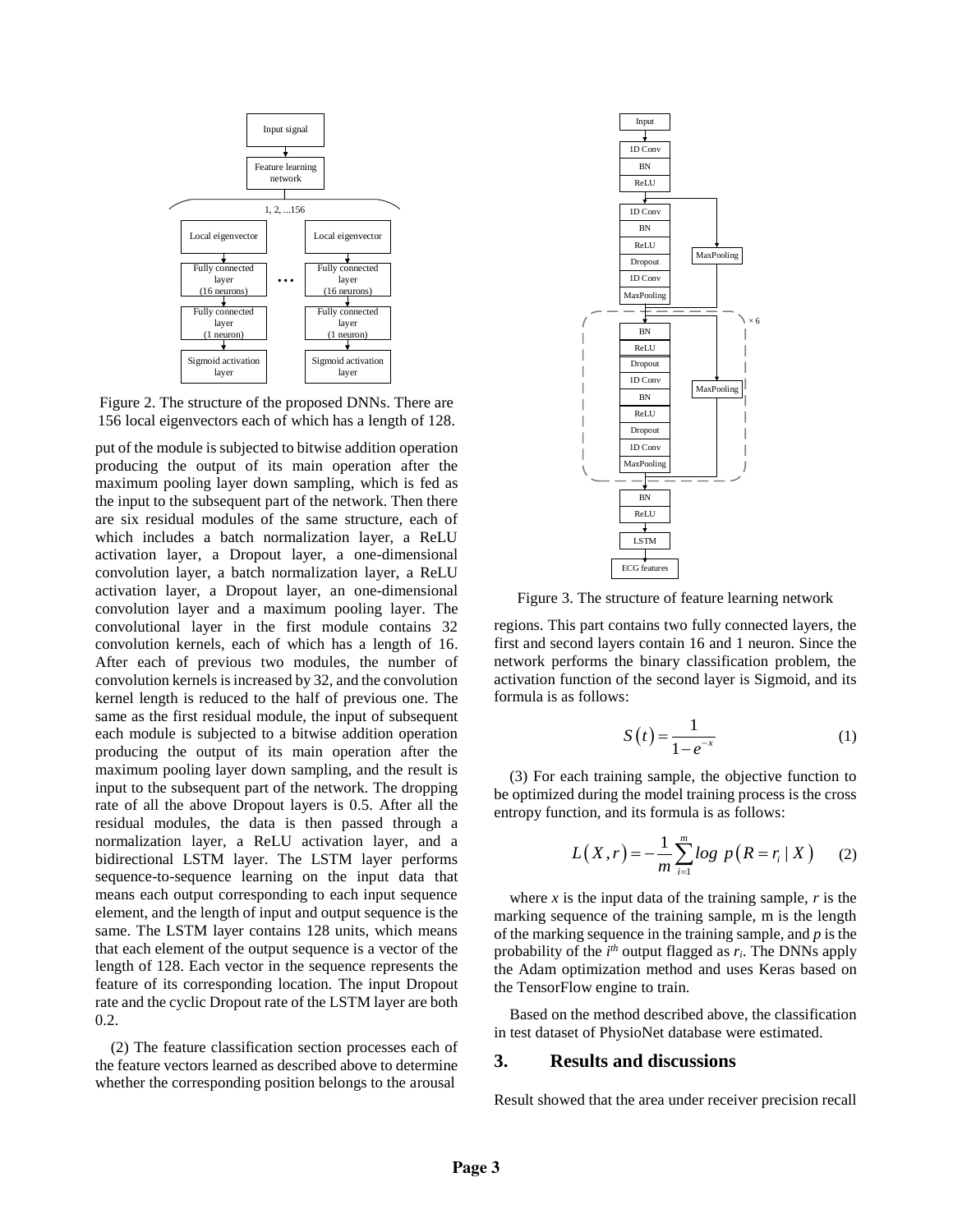

Figure 2. The structure of the proposed DNNs. There are 156 local eigenvectors each of which has a length of 128.

put of the module is subjected to bitwise addition operation producing the output of its main operation after the maximum pooling layer down sampling, which is fed as the input to the subsequent part of the network. Then there are six residual modules of the same structure, each of which includes a batch normalization layer, a ReLU activation layer, a Dropout layer, a one-dimensional convolution layer, a batch normalization layer, a ReLU activation layer, a Dropout layer, an one-dimensional convolution layer and a maximum pooling layer. The convolutional layer in the first module contains 32 convolution kernels, each of which has a length of 16. After each of previous two modules, the number of convolution kernels is increased by 32, and the convolution kernel length is reduced to the half of previous one. The same as the first residual module, the input of subsequent each module is subjected to a bitwise addition operation producing the output of its main operation after the maximum pooling layer down sampling, and the result is input to the subsequent part of the network. The dropping rate of all the above Dropout layers is 0.5. After all the residual modules, the data is then passed through a normalization layer, a ReLU activation layer, and a bidirectional LSTM layer. The LSTM layer performs sequence-to-sequence learning on the input data that means each output corresponding to each input sequence element, and the length of input and output sequence is the same. The LSTM layer contains 128 units, which means that each element of the output sequence is a vector of the length of 128. Each vector in the sequence represents the feature of its corresponding location. The input Dropout rate and the cyclic Dropout rate of the LSTM layer are both 0.2.

(2) The feature classification section processes each of the feature vectors learned as described above to determine whether the corresponding position belongs to the arousal



Figure 3. The structure of feature learning network

regions. This part contains two fully connected layers, the first and second layers contain 16 and 1 neuron. Since the network performs the binary classification problem, the activation function of the second layer is Sigmoid, and its formula is as follows:

$$
S(t) = \frac{1}{1 - e^{-x}}\tag{1}
$$

(3) For each training sample, the objective function to be optimized during the model training process is the cross entropy function, and its formula is as follows:

$$
L(X,r) = -\frac{1}{m} \sum_{i=1}^{m} \log p(R = r_i \mid X) \qquad (2)
$$

where  $x$  is the input data of the training sample,  $r$  is the marking sequence of the training sample, m is the length of the marking sequence in the training sample, and *p* is the probability of the  $i^{th}$  output flagged as  $r_i$ . The DNNs apply the Adam optimization method and uses Keras based on the TensorFlow engine to train.

Based on the method described above, the classification in test dataset of PhysioNet database were estimated.

# **3. Results and discussions**

Result showed that the area under receiver precision recall